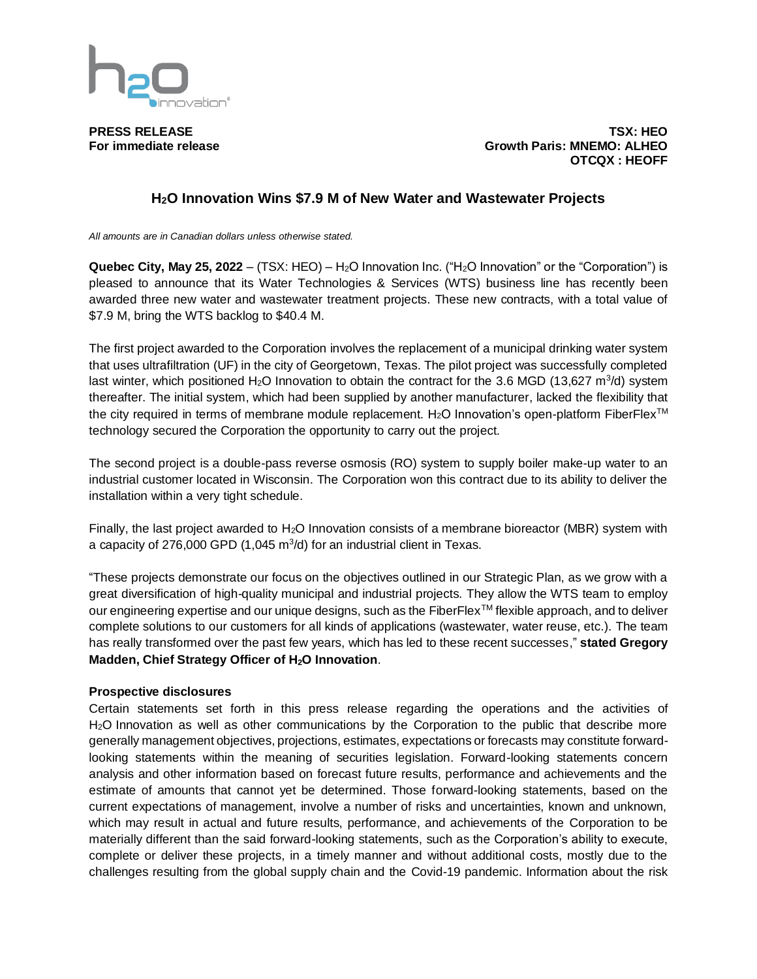

**PRESS RELEASE TSX: HEO For immediate release Growth Paris: MNEMO: ALHEO OTCQX : HEOFF**

## **H2O Innovation Wins \$7.9 M of New Water and Wastewater Projects**

*All amounts are in Canadian dollars unless otherwise stated.*

**Quebec City, May 25, 2022** – (TSX: HEO) – H2O Innovation Inc. ("H2O Innovation" or the "Corporation") is pleased to announce that its Water Technologies & Services (WTS) business line has recently been awarded three new water and wastewater treatment projects. These new contracts, with a total value of \$7.9 M, bring the WTS backlog to \$40.4 M.

The first project awarded to the Corporation involves the replacement of a municipal drinking water system that uses ultrafiltration (UF) in the city of Georgetown, Texas. The pilot project was successfully completed last winter, which positioned H<sub>2</sub>O Innovation to obtain the contract for the 3.6 MGD (13,627 m<sup>3</sup>/d) system thereafter. The initial system, which had been supplied by another manufacturer, lacked the flexibility that the city required in terms of membrane module replacement. H<sub>2</sub>O Innovation's open-platform FiberFlex<sup>™</sup> technology secured the Corporation the opportunity to carry out the project.

The second project is a double-pass reverse osmosis (RO) system to supply boiler make-up water to an industrial customer located in Wisconsin. The Corporation won this contract due to its ability to deliver the installation within a very tight schedule.

Finally, the last project awarded to H<sub>2</sub>O Innovation consists of a membrane bioreactor (MBR) system with a capacity of 276,000 GPD  $(1,045 \text{ m}^3/\text{d})$  for an industrial client in Texas.

"These projects demonstrate our focus on the objectives outlined in our Strategic Plan, as we grow with a great diversification of high-quality municipal and industrial projects. They allow the WTS team to employ our engineering expertise and our unique designs, such as the FiberFlex™ flexible approach, and to deliver complete solutions to our customers for all kinds of applications (wastewater, water reuse, etc.). The team has really transformed over the past few years, which has led to these recent successes," **stated Gregory Madden, Chief Strategy Officer of H2O Innovation**.

## **Prospective disclosures**

Certain statements set forth in this press release regarding the operations and the activities of H2O Innovation as well as other communications by the Corporation to the public that describe more generally management objectives, projections, estimates, expectations or forecasts may constitute forwardlooking statements within the meaning of securities legislation. Forward-looking statements concern analysis and other information based on forecast future results, performance and achievements and the estimate of amounts that cannot yet be determined. Those forward-looking statements, based on the current expectations of management, involve a number of risks and uncertainties, known and unknown, which may result in actual and future results, performance, and achievements of the Corporation to be materially different than the said forward-looking statements, such as the Corporation's ability to execute, complete or deliver these projects, in a timely manner and without additional costs, mostly due to the challenges resulting from the global supply chain and the Covid-19 pandemic. Information about the risk